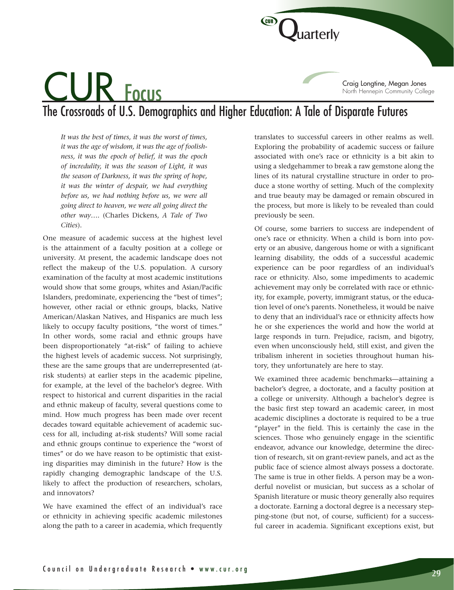)<br>uarterly Craig Longtine, Megan Jones North Hennepin Community College

# The Crossroads of U.S. Demographics and Higher Education: A Tale of Disparate Futures

*It was the best of times, it was the worst of times, it was the age of wisdom, it was the age of foolishness, it was the epoch of belief, it was the epoch of incredulity, it was the season of Light, it was the season of Darkness, it was the spring of hope, it was the winter of despair, we had everything before us, we had nothing before us, we were all going direct to heaven, we were all going direct the other way….* (Charles Dickens, *A Tale of Two Cities*).

CUR Focus

One measure of academic success at the highest level is the attainment of a faculty position at a college or university. At present, the academic landscape does not reflect the makeup of the U.S. population. A cursory examination of the faculty at most academic institutions would show that some groups, whites and Asian/Pacific Islanders, predominate, experiencing the "best of times"; however, other racial or ethnic groups, blacks, Native American/Alaskan Natives, and Hispanics are much less likely to occupy faculty positions, "the worst of times." In other words, some racial and ethnic groups have been disproportionately "at-risk" of failing to achieve the highest levels of academic success. Not surprisingly, these are the same groups that are underrepresented (atrisk students) at earlier steps in the academic pipeline, for example, at the level of the bachelor's degree. With respect to historical and current disparities in the racial and ethnic makeup of faculty, several questions come to mind. How much progress has been made over recent decades toward equitable achievement of academic success for all, including at-risk students? Will some racial and ethnic groups continue to experience the "worst of times" or do we have reason to be optimistic that existing disparities may diminish in the future? How is the rapidly changing demographic landscape of the U.S. likely to affect the production of researchers, scholars, and innovators?

We have examined the effect of an individual's race or ethnicity in achieving specific academic milestones along the path to a career in academia, which frequently translates to successful careers in other realms as well. Exploring the probability of academic success or failure associated with one's race or ethnicity is a bit akin to using a sledgehammer to break a raw gemstone along the lines of its natural crystalline structure in order to produce a stone worthy of setting. Much of the complexity and true beauty may be damaged or remain obscured in the process, but more is likely to be revealed than could previously be seen.

Of course, some barriers to success are independent of one's race or ethnicity. When a child is born into poverty or an abusive, dangerous home or with a significant learning disability, the odds of a successful academic experience can be poor regardless of an individual's race or ethnicity. Also, some impediments to academic achievement may only be correlated with race or ethnicity, for example, poverty, immigrant status, or the education level of one's parents. Nonetheless, it would be naive to deny that an individual's race or ethnicity affects how he or she experiences the world and how the world at large responds in turn. Prejudice, racism, and bigotry, even when unconsciously held, still exist, and given the tribalism inherent in societies throughout human history, they unfortunately are here to stay.

We examined three academic benchmarks—attaining a bachelor's degree, a doctorate, and a faculty position at a college or university. Although a bachelor's degree is the basic first step toward an academic career, in most academic disciplines a doctorate is required to be a true "player" in the field. This is certainly the case in the sciences. Those who genuinely engage in the scientific endeavor, advance our knowledge, determine the direction of research, sit on grant-review panels, and act as the public face of science almost always possess a doctorate. The same is true in other fields. A person may be a wonderful novelist or musician, but success as a scholar of Spanish literature or music theory generally also requires a doctorate. Earning a doctoral degree is a necessary stepping-stone (but not, of course, sufficient) for a successful career in academia. Significant exceptions exist, but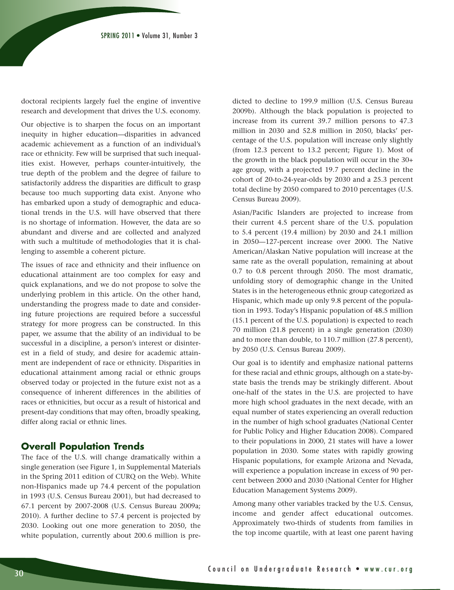doctoral recipients largely fuel the engine of inventive research and development that drives the U.S. economy.

Our objective is to sharpen the focus on an important inequity in higher education—disparities in advanced academic achievement as a function of an individual's race or ethnicity. Few will be surprised that such inequalities exist. However, perhaps counter-intuitively, the true depth of the problem and the degree of failure to satisfactorily address the disparities are difficult to grasp because too much supporting data exist. Anyone who has embarked upon a study of demographic and educational trends in the U.S. will have observed that there is no shortage of information. However, the data are so abundant and diverse and are collected and analyzed with such a multitude of methodologies that it is challenging to assemble a coherent picture.

The issues of race and ethnicity and their influence on educational attainment are too complex for easy and quick explanations, and we do not propose to solve the underlying problem in this article. On the other hand, understanding the progress made to date and considering future projections are required before a successful strategy for more progress can be constructed. In this paper, we assume that the ability of an individual to be successful in a discipline, a person's interest or disinterest in a field of study, and desire for academic attainment are independent of race or ethnicity. Disparities in educational attainment among racial or ethnic groups observed today or projected in the future exist not as a consequence of inherent differences in the abilities of races or ethnicities, but occur as a result of historical and present-day conditions that may often, broadly speaking, differ along racial or ethnic lines.

#### **Overall Population Trends**

The face of the U.S. will change dramatically within a single generation (see Figure 1, in Supplemental Materials in the Spring 2011 edition of CURQ on the Web). White non-Hispanics made up 74.4 percent of the population in 1993 (U.S. Census Bureau 2001), but had decreased to 67.1 percent by 2007-2008 (U.S. Census Bureau 2009a; 2010). A further decline to 57.4 percent is projected by 2030. Looking out one more generation to 2050, the white population, currently about 200.6 million is predicted to decline to 199.9 million (U.S. Census Bureau 2009b). Although the black population is projected to increase from its current 39.7 million persons to 47.3 million in 2030 and 52.8 million in 2050, blacks' percentage of the U.S. population will increase only slightly (from 12.3 percent to 13.2 percent; Figure 1). Most of the growth in the black population will occur in the 30+ age group, with a projected 19.7 percent decline in the cohort of 20-to-24-year-olds by 2030 and a 25.3 percent total decline by 2050 compared to 2010 percentages (U.S. Census Bureau 2009).

Asian/Pacific Islanders are projected to increase from their current 4.5 percent share of the U.S. population to 5.4 percent (19.4 million) by 2030 and 24.1 million in 2050—127-percent increase over 2000. The Native American/Alaskan Native population will increase at the same rate as the overall population, remaining at about 0.7 to 0.8 percent through 2050. The most dramatic, unfolding story of demographic change in the United States is in the heterogeneous ethnic group categorized as Hispanic, which made up only 9.8 percent of the population in 1993. Today's Hispanic population of 48.5 million (15.1 percent of the U.S. population) is expected to reach 70 million (21.8 percent) in a single generation (2030) and to more than double, to 110.7 million (27.8 percent), by 2050 (U.S. Census Bureau 2009).

Our goal is to identify and emphasize national patterns for these racial and ethnic groups, although on a state-bystate basis the trends may be strikingly different. About one-half of the states in the U.S. are projected to have more high school graduates in the next decade, with an equal number of states experiencing an overall reduction in the number of high school graduates (National Center for Public Policy and Higher Education 2008). Compared to their populations in 2000, 21 states will have a lower population in 2030. Some states with rapidly growing Hispanic populations, for example Arizona and Nevada, will experience a population increase in excess of 90 percent between 2000 and 2030 (National Center for Higher Education Management Systems 2009).

Among many other variables tracked by the U.S. Census, income and gender affect educational outcomes. Approximately two-thirds of students from families in the top income quartile, with at least one parent having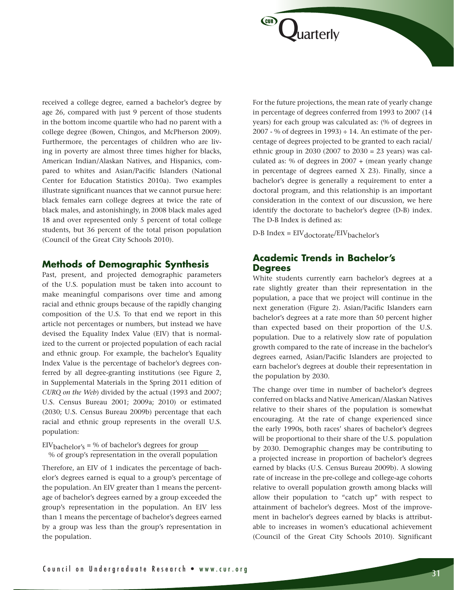received a college degree, earned a bachelor's degree by age 26, compared with just 9 percent of those students in the bottom income quartile who had no parent with a college degree (Bowen, Chingos, and McPherson 2009). Furthermore, the percentages of children who are living in poverty are almost three times higher for blacks, American Indian/Alaskan Natives, and Hispanics, compared to whites and Asian/Pacific Islanders (National Center for Education Statistics 2010a). Two examples illustrate significant nuances that we cannot pursue here: black females earn college degrees at twice the rate of black males, and astonishingly, in 2008 black males aged 18 and over represented only 5 percent of total college students, but 36 percent of the total prison population (Council of the Great City Schools 2010).

#### **Methods of Demographic Synthesis**

Past, present, and projected demographic parameters of the U.S. population must be taken into account to make meaningful comparisons over time and among racial and ethnic groups because of the rapidly changing composition of the U.S. To that end we report in this article not percentages or numbers, but instead we have devised the Equality Index Value (EIV) that is normalized to the current or projected population of each racial and ethnic group. For example, the bachelor's Equality Index Value is the percentage of bachelor's degrees conferred by all degree-granting institutions (see Figure 2, in Supplemental Materials in the Spring 2011 edition of *CURQ on the Web*) divided by the actual (1993 and 2007; U.S. Census Bureau 2001; 2009a; 2010) or estimated (2030; U.S. Census Bureau 2009b) percentage that each racial and ethnic group represents in the overall U.S. population:

 $EIV_{\text{backelor's}} = \%$  of bachelor's degrees for group % of group's representation in the overall population

Therefore, an EIV of 1 indicates the percentage of bachelor's degrees earned is equal to a group's percentage of the population. An EIV greater than 1 means the percentage of bachelor's degrees earned by a group exceeded the group's representation in the population. An EIV less than 1 means the percentage of bachelor's degrees earned by a group was less than the group's representation in the population.

For the future projections, the mean rate of yearly change in percentage of degrees conferred from 1993 to 2007 (14 years) for each group was calculated as: (% of degrees in 2007 - % of degrees in 1993)  $\div$  14. An estimate of the percentage of degrees projected to be granted to each racial/ ethnic group in 2030 (2007 to 2030 = 23 years) was calculated as: % of degrees in  $2007 + ($ mean yearly change in percentage of degrees earned X 23). Finally, since a bachelor's degree is generally a requirement to enter a doctoral program, and this relationship is an important consideration in the context of our discussion, we here identify the doctorate to bachelor's degree (D-B) index. The D-B Index is defined as:

 $D-B$  Index =  $EIV_{doctorate}/EIV_{bachelor's}$ 

**Juarterly** 

**CUR** 

### **Academic Trends in Bachelor's Degrees**

White students currently earn bachelor's degrees at a rate slightly greater than their representation in the population, a pace that we project will continue in the next generation (Figure 2). Asian/Pacific Islanders earn bachelor's degrees at a rate more than 50 percent higher than expected based on their proportion of the U.S. population. Due to a relatively slow rate of population growth compared to the rate of increase in the bachelor's degrees earned, Asian/Pacific Islanders are projected to earn bachelor's degrees at double their representation in the population by 2030.

The change over time in number of bachelor's degrees conferred on blacks and Native American/Alaskan Natives relative to their shares of the population is somewhat encouraging. At the rate of change experienced since the early 1990s, both races' shares of bachelor's degrees will be proportional to their share of the U.S. population by 2030. Demographic changes may be contributing to a projected increase in proportion of bachelor's degrees earned by blacks (U.S. Census Bureau 2009b). A slowing rate of increase in the pre-college and college-age cohorts relative to overall population growth among blacks will allow their population to "catch up" with respect to attainment of bachelor's degrees. Most of the improvement in bachelor's degrees earned by blacks is attributable to increases in women's educational achievement (Council of the Great City Schools 2010). Significant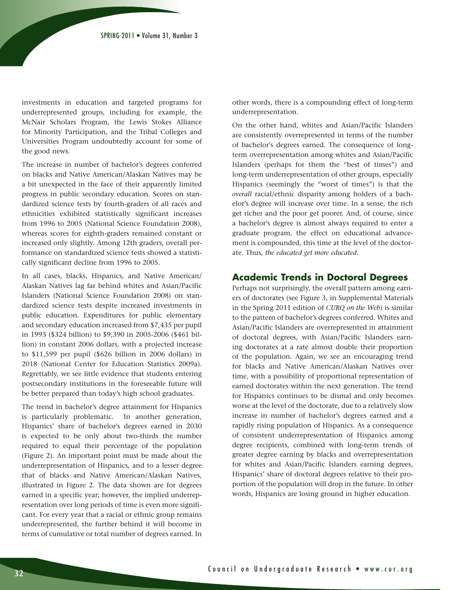investments in education and targeted programs for underrepresented groups, including for example, the McNair Scholars Program, the Lewis Stokes Alliance for Minority Participation, and the Tribal Colleges and Universities Program undoubtedly account for some of the good news.

The increase in number of bachelor's degrees conferred on blacks and Native American/Alaskan Natives may be a bit unexpected in the face of their apparently limited progress in public secondary education. Scores on standardized science tests by fourth-graders of all races and ethnicities exhibited statistically significant increases from 1996 to 2005 (National Science Foundation 2008), whereas scores for eighth-graders remained constant or increased only slightly. Among 12th graders, overall performance on standardized science tests showed a statistically significant decline from 1996 to 2005.

In all cases, blacks, Hispanics, and Native American/ Alaskan Natives lag far behind whites and Asian/Pacific Islanders (National Science Foundation 2008) on standardized science tests despite increased investments in public education. Expenditures for public elementary and secondary education increased from \$7,435 per pupil in 1993 (\$324 billion) to \$9,390 in 2005-2006 (\$461 billion) in constant 2006 dollars, with a projected increase to \$11,599 per pupil (\$626 billion in 2006 dollars) in 2018 (National Center for Education Statistics 2009a). Regrettably, we see little evidence that students entering postsecondary institutions in the foreseeable future will be better prepared than today's high school graduates.

The trend in bachelor's degree attainment for Hispanics is particularly problematic. In another generation, Hispanics' share of bachelor's degrees earned in 2030 is expected to be only about two-thirds the number required to equal their percentage of the population (Figure 2). An important point must be made about the underrepresentation of Hispanics, and to a lesser degree that of blacks and Native American/Alaskan Natives, illustrated in Figure 2. The data shown are for degrees earned in a specific year; however, the implied underrepresentation over long periods of time is even more significant. For every year that a racial or ethnic group remains underrepresented, the further behind it will become in terms of cumulative or total number of degrees earned. In

other words, there is a compounding effect of long-term underrepresentation.

On the other hand, whites and Asian/Pacific Islanders are consistently overrepresented in terms of the number of bachelor's degrees earned. The consequence of longterm overrepresentation among whites and Asian/Pacific Islanders (perhaps for them the "best of times") and long-term underrepresentation of other groups, especially Hispanics (seemingly the "worst of times") is that the *overall* racial/ethnic disparity among holders of a bachelor's degree will increase over time. In a sense, the rich get richer and the poor get poorer. And, of course, since a bachelor's degree is almost always required to enter a graduate program, the effect on educational advancement is compounded, this time at the level of the doctorate. Thus, *the educated get more educated*.

#### **Academic Trends in Doctoral Degrees**

Perhaps not surprisingly, the overall pattern among earners of doctorates (see Figure 3, in Supplemental Materials in the Spring 2011 edition of *CURQ on the Web*) is similar to the pattern of bachelor's degrees conferred. Whites and Asian/Pacific Islanders are overrepresented in attainment of doctoral degrees, with Asian/Pacific Islanders earning doctorates at a rate almost double their proportion of the population. Again, we see an encouraging trend for blacks and Native American/Alaskan Natives over time, with a possibility of proportional representation of earned doctorates within the next generation. The trend for Hispanics continues to be dismal and only becomes worse at the level of the doctorate, due to a relatively slow increase in number of bachelor's degrees earned and a rapidly rising population of Hispanics. As a consequence of consistent underrepresentation of Hispanics among degree recipients, combined with long-term trends of greater degree earning by blacks and overrepresentation for whites and Asian/Pacific Islanders earning degrees, Hispanics' share of doctoral degrees relative to their proportion of the population will drop in the future. In other words, Hispanics are losing ground in higher education.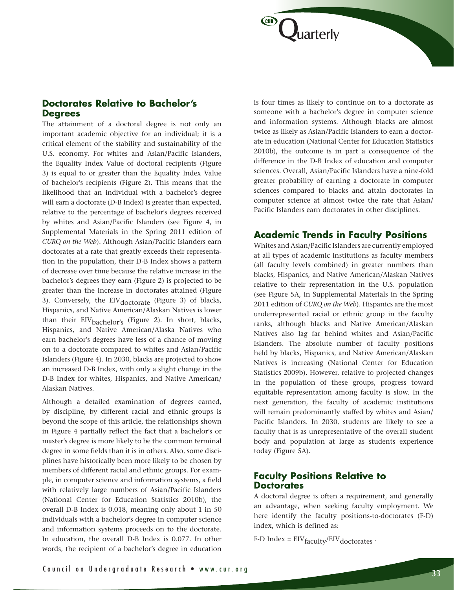

The attainment of a doctoral degree is not only an important academic objective for an individual; it is a critical element of the stability and sustainability of the U.S. economy. For whites and Asian/Pacific Islanders, the Equality Index Value of doctoral recipients (Figure 3) is equal to or greater than the Equality Index Value of bachelor's recipients (Figure 2). This means that the likelihood that an individual with a bachelor's degree will earn a doctorate (D-B Index) is greater than expected, relative to the percentage of bachelor's degrees received by whites and Asian/Pacific Islanders (see Figure 4, in Supplemental Materials in the Spring 2011 edition of *CURQ on the Web*). Although Asian/Pacific Islanders earn doctorates at a rate that greatly exceeds their representation in the population, their D-B Index shows a pattern of decrease over time because the relative increase in the bachelor's degrees they earn (Figure 2) is projected to be greater than the increase in doctorates attained (Figure 3). Conversely, the  $EIV_{doctorate}$  (Figure 3) of blacks, Hispanics, and Native American/Alaskan Natives is lower than their EIV<sub>bachelor's</sub> (Figure 2). In short, blacks, Hispanics, and Native American/Alaska Natives who earn bachelor's degrees have less of a chance of moving on to a doctorate compared to whites and Asian/Pacific Islanders (Figure 4). In 2030, blacks are projected to show an increased D-B Index, with only a slight change in the D-B Index for whites, Hispanics, and Native American/ Alaskan Natives.

Although a detailed examination of degrees earned, by discipline, by different racial and ethnic groups is beyond the scope of this article, the relationships shown in Figure 4 partially reflect the fact that a bachelor's or master's degree is more likely to be the common terminal degree in some fields than it is in others. Also, some disciplines have historically been more likely to be chosen by members of different racial and ethnic groups. For example, in computer science and information systems, a field with relatively large numbers of Asian/Pacific Islanders (National Center for Education Statistics 2010b), the overall D-B Index is 0.018, meaning only about 1 in 50 individuals with a bachelor's degree in computer science and information systems proceeds on to the doctorate. In education, the overall D-B Index is 0.077. In other words, the recipient of a bachelor's degree in education is four times as likely to continue on to a doctorate as someone with a bachelor's degree in computer science and information systems. Although blacks are almost twice as likely as Asian/Pacific Islanders to earn a doctorate in education (National Center for Education Statistics 2010b), the outcome is in part a consequence of the difference in the D-B Index of education and computer sciences. Overall, Asian/Pacific Islanders have a nine-fold greater probability of earning a doctorate in computer sciences compared to blacks and attain doctorates in computer science at almost twice the rate that Asian/ Pacific Islanders earn doctorates in other disciplines.

**Juarterly** 

### **Academic Trends in Faculty Positions**

Whites and Asian/Pacific Islanders are currently employed at all types of academic institutions as faculty members (all faculty levels combined) in greater numbers than blacks, Hispanics, and Native American/Alaskan Natives relative to their representation in the U.S. population (see Figure 5A, in Supplemental Materials in the Spring 2011 edition of *CURQ on the Web*). Hispanics are the most underrepresented racial or ethnic group in the faculty ranks, although blacks and Native American/Alaskan Natives also lag far behind whites and Asian/Pacific Islanders. The absolute number of faculty positions held by blacks, Hispanics, and Native American/Alaskan Natives is increasing (National Center for Education Statistics 2009b). However, relative to projected changes in the population of these groups, progress toward equitable representation among faculty is slow. In the next generation, the faculty of academic institutions will remain predominantly staffed by whites and Asian/ Pacific Islanders. In 2030, students are likely to see a faculty that is as unrepresentative of the overall student body and population at large as students experience today (Figure 5A).

## **Faculty Positions Relative to Doctorates**

A doctoral degree is often a requirement, and generally an advantage, when seeking faculty employment. We here identify the faculty positions-to-doctorates (F-D) index, which is defined as:

F-D Index =  $EIV_{\text{faculty}}/EIV_{\text{doctorates}}$ .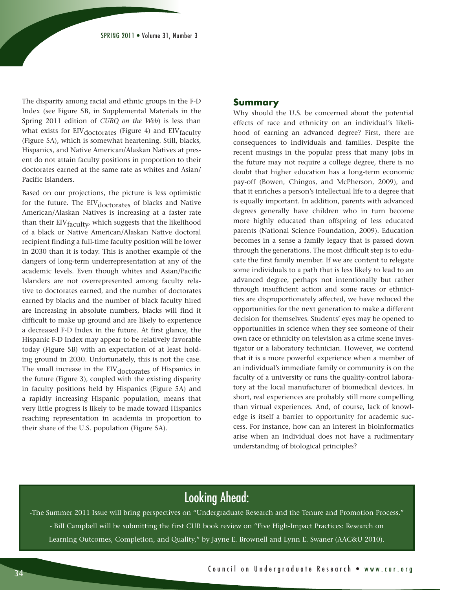The disparity among racial and ethnic groups in the F-D Index (see Figure 5B, in Supplemental Materials in the Spring 2011 edition of *CURQ on the Web*) is less than what exists for  $EIV_{doctorates}$  (Figure 4) and  $EIV_{faculty}$ (Figure 5A), which is somewhat heartening. Still, blacks, Hispanics, and Native American/Alaskan Natives at present do not attain faculty positions in proportion to their doctorates earned at the same rate as whites and Asian/ Pacific Islanders.

Based on our projections, the picture is less optimistic for the future. The EIV<sub>doctorates</sub> of blacks and Native American/Alaskan Natives is increasing at a faster rate than their EIV<sub>faculty</sub>, which suggests that the likelihood of a black or Native American/Alaskan Native doctoral recipient finding a full-time faculty position will be lower in 2030 than it is today. This is another example of the dangers of long-term underrepresentation at any of the academic levels. Even though whites and Asian/Pacific Islanders are not overrepresented among faculty relative to doctorates earned, and the number of doctorates earned by blacks and the number of black faculty hired are increasing in absolute numbers, blacks will find it difficult to make up ground and are likely to experience a decreased F-D Index in the future. At first glance, the Hispanic F-D Index may appear to be relatively favorable today (Figure 5B) with an expectation of at least holding ground in 2030. Unfortunately, this is not the case. The small increase in the EIV<sub>doctorates</sub> of Hispanics in the future (Figure 3), coupled with the existing disparity in faculty positions held by Hispanics (Figure 5A) and a rapidly increasing Hispanic population, means that very little progress is likely to be made toward Hispanics reaching representation in academia in proportion to their share of the U.S. population (Figure 5A).

#### **Summary**

Why should the U.S. be concerned about the potential effects of race and ethnicity on an individual's likelihood of earning an advanced degree? First, there are consequences to individuals and families. Despite the recent musings in the popular press that many jobs in the future may not require a college degree, there is no doubt that higher education has a long-term economic pay-off (Bowen, Chingos, and McPherson, 2009), and that it enriches a person's intellectual life to a degree that is equally important. In addition, parents with advanced degrees generally have children who in turn become more highly educated than offspring of less educated parents (National Science Foundation, 2009). Education becomes in a sense a family legacy that is passed down through the generations. The most difficult step is to educate the first family member. If we are content to relegate some individuals to a path that is less likely to lead to an advanced degree, perhaps not intentionally but rather through insufficient action and some races or ethnicities are disproportionately affected, we have reduced the opportunities for the next generation to make a different decision for themselves. Students' eyes may be opened to opportunities in science when they see someone of their own race or ethnicity on television as a crime scene investigator or a laboratory technician. However, we contend that it is a more powerful experience when a member of an individual's immediate family or community is on the faculty of a university or runs the quality-control laboratory at the local manufacturer of biomedical devices. In short, real experiences are probably still more compelling than virtual experiences. And, of course, lack of knowledge is itself a barrier to opportunity for academic success. For instance, how can an interest in bioinformatics arise when an individual does not have a rudimentary understanding of biological principles?

# Looking Ahead:

-The Summer 2011 Issue will bring perspectives on "Undergraduate Research and the Tenure and Promotion Process." - Bill Campbell will be submitting the first CUR book review on "Five High-Impact Practices: Research on Learning Outcomes, Completion, and Quality," by Jayne E. Brownell and Lynn E. Swaner (AAC&U 2010).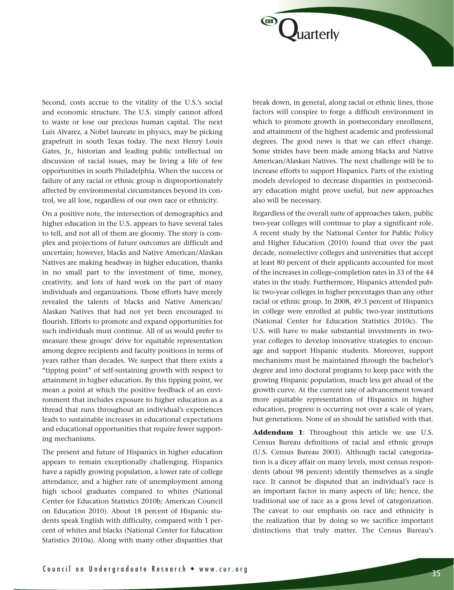Second, costs accrue to the vitality of the U.S.'s social and economic structure. The U.S. simply cannot afford to waste or lose our precious human capital. The next Luis Alvarez, a Nobel laureate in physics, may be picking grapefruit in south Texas today. The next Henry Louis Gates, Jr., historian and leading public intellectual on discussion of racial issues, may be living a life of few opportunities in south Philadelphia. When the success or failure of any racial or ethnic group is disproportionately affected by environmental circumstances beyond its control, we all lose, regardless of our own race or ethnicity.

On a positive note, the intersection of demographics and higher education in the U.S. appears to have several tales to tell, and not all of them are gloomy. The story is complex and projections of future outcomes are difficult and uncertain; however, blacks and Native American/Alaskan Natives are making headway in higher education, thanks in no small part to the investment of time, money, creativity, and lots of hard work on the part of many individuals and organizations. Those efforts have merely revealed the talents of blacks and Native American/ Alaskan Natives that had not yet been encouraged to flourish. Efforts to promote and expand opportunities for such individuals must continue. All of us would prefer to measure these groups' drive for equitable representation among degree recipients and faculty positions in terms of years rather than decades. We suspect that there exists a "tipping point" of self-sustaining growth with respect to attainment in higher education. By this tipping point, we mean a point at which the positive feedback of an environment that includes exposure to higher education as a thread that runs throughout an individual's experiences leads to sustainable increases in educational expectations and educational opportunities that require fewer supporting mechanisms.

The present and future of Hispanics in higher education appears to remain exceptionally challenging. Hispanics have a rapidly growing population, a lower rate of college attendance, and a higher rate of unemployment among high school graduates compared to whites (National Center for Education Statistics 2010b; American Council on Education 2010). About 18 percent of Hispanic students speak English with difficulty, compared with 1 percent of whites and blacks (National Center for Education Statistics 2010a). Along with many other disparities that break down, in general, along racial or ethnic lines, those factors will conspire to forge a difficult environment in which to promote growth in postsecondary enrollment, and attainment of the highest academic and professional degrees. The good news is that we can effect change. Some strides have been made among blacks and Native American/Alaskan Natives. The next challenge will be to increase efforts to support Hispanics. Parts of the existing models developed to decrease disparities in postsecondary education might prove useful, but new approaches also will be necessary.

**Juarterly** 

(CUR)

Regardless of the overall suite of approaches taken, public two-year colleges will continue to play a significant role. A recent study by the National Center for Public Policy and Higher Education (2010) found that over the past decade, nonselective colleges and universities that accept at least 80 percent of their applicants accounted for most of the increases in college-completion rates in 33 of the 44 states in the study. Furthermore, Hispanics attended public two-year colleges in higher percentages than any other racial or ethnic group. In 2008, 49.3 percent of Hispanics in college were enrolled at public two-year institutions (National Center for Education Statistics 2010c). The U.S. will have to make substantial investments in twoyear colleges to develop innovative strategies to encourage and support Hispanic students. Moreover, support mechanisms must be maintained through the bachelor's degree and into doctoral programs to keep pace with the growing Hispanic population, much less get ahead of the growth curve. At the current rate of advancement toward more equitable representation of Hispanics in higher education, progress is occurring not over a scale of years, but generations. None of us should be satisfied with that.

**Addendum 1**: Throughout this article we use U.S. Census Bureau definitions of racial and ethnic groups (U.S. Census Bureau 2003). Although racial categorization is a dicey affair on many levels, most census respondents (about 98 percent) identify themselves as a single race. It cannot be disputed that an individual's race is an important factor in many aspects of life; hence, the traditional use of race as a gross level of categorization. The caveat to our emphasis on race and ethnicity is the realization that by doing so we sacrifice important distinctions that truly matter. The Census Bureau's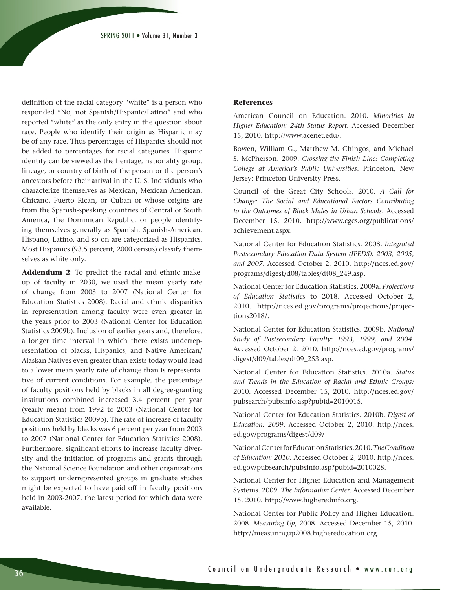definition of the racial category "white" is a person who responded "No, not Spanish/Hispanic/Latino" and who reported "white" as the only entry in the question about race. People who identify their origin as Hispanic may be of any race. Thus percentages of Hispanics should not be added to percentages for racial categories. Hispanic identity can be viewed as the heritage, nationality group, lineage, or country of birth of the person or the person's ancestors before their arrival in the U. S. Individuals who characterize themselves as Mexican, Mexican American, Chicano, Puerto Rican, or Cuban or whose origins are from the Spanish-speaking countries of Central or South America, the Dominican Republic, or people identifying themselves generally as Spanish, Spanish-American, Hispano, Latino, and so on are categorized as Hispanics. Most Hispanics (93.5 percent, 2000 census) classify themselves as white only.

**Addendum 2**: To predict the racial and ethnic makeup of faculty in 2030, we used the mean yearly rate of change from 2003 to 2007 (National Center for Education Statistics 2008). Racial and ethnic disparities in representation among faculty were even greater in the years prior to 2003 (National Center for Education Statistics 2009b). Inclusion of earlier years and, therefore, a longer time interval in which there exists underrepresentation of blacks, Hispanics, and Native American/ Alaskan Natives even greater than exists today would lead to a lower mean yearly rate of change than is representative of current conditions. For example, the percentage of faculty positions held by blacks in all degree-granting institutions combined increased 3.4 percent per year (yearly mean) from 1992 to 2003 (National Center for Education Statistics 2009b). The rate of increase of faculty positions held by blacks was 6 percent per year from 2003 to 2007 (National Center for Education Statistics 2008). Furthermore, significant efforts to increase faculty diversity and the initiation of programs and grants through the National Science Foundation and other organizations to support underrepresented groups in graduate studies might be expected to have paid off in faculty positions held in 2003-2007, the latest period for which data were available.

#### **References**

American Council on Education. 2010. *Minorities in Higher Education: 24th Status Report*. Accessed December 15, 2010. http://www.acenet.edu/.

Bowen, William G., Matthew M. Chingos, and Michael S. McPherson. 2009. *Crossing the Finish Line: Completing College at America's Public Universities*. Princeton, New Jersey: Princeton University Press.

Council of the Great City Schools. 2010. *A Call for Change: The Social and Educational Factors Contributing to the Outcomes of Black Males in Urban Schools.* Accessed December 15, 2010. http://www.cgcs.org/publications/ achievement.aspx.

National Center for Education Statistics. 2008. *Integrated Postsecondary Education Data System (IPEDS): 2003, 2005, and 2007*. Accessed October 2, 2010. http://nces.ed.gov/ programs/digest/d08/tables/dt08\_249.asp.

National Center for Education Statistics. 2009a. *Projections of Education Statistics* to 2018. Accessed October 2, 2010. http://nces.ed.gov/programs/projections/projections2018/.

National Center for Education Statistics. 2009b. *National Study of Postsecondary Faculty: 1993, 1999, and 2004*. Accessed October 2, 2010. http://nces.ed.gov/programs/ digest/d09/tables/dt09\_253.asp.

National Center for Education Statistics. 2010a. *Status and Trends in the Education of Racial and Ethnic Groups:*  2010. Accessed December 15, 2010. http://nces.ed.gov/ pubsearch/pubsinfo.asp?pubid=2010015.

National Center for Education Statistics. 2010b. *Digest of Education: 2009*. Accessed October 2, 2010. http://nces. ed.gov/programs/digest/d09/

National Center for Education Statistics. 2010. *The Condition of Education: 2010*. Accessed October 2, 2010. http://nces. ed.gov/pubsearch/pubsinfo.asp?pubid=2010028.

National Center for Higher Education and Management Systems. 2009. *The Information Center*. Accessed December 15, 2010. http://www.higheredinfo.org.

National Center for Public Policy and Higher Education. 2008. *Measuring Up*, 2008. Accessed December 15, 2010. http://measuringup2008.highereducation.org.